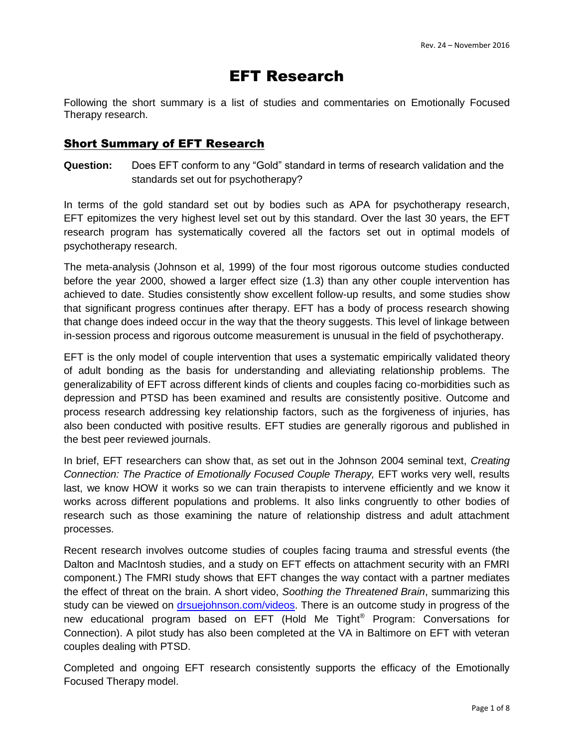# EFT Research

Following the short summary is a list of studies and commentaries on Emotionally Focused Therapy research.

#### Short Summary of EFT Research

**Question:** Does EFT conform to any "Gold" standard in terms of research validation and the standards set out for psychotherapy?

In terms of the gold standard set out by bodies such as APA for psychotherapy research, EFT epitomizes the very highest level set out by this standard. Over the last 30 years, the EFT research program has systematically covered all the factors set out in optimal models of psychotherapy research.

The meta-analysis (Johnson et al, 1999) of the four most rigorous outcome studies conducted before the year 2000, showed a larger effect size (1.3) than any other couple intervention has achieved to date. Studies consistently show excellent follow-up results, and some studies show that significant progress continues after therapy. EFT has a body of process research showing that change does indeed occur in the way that the theory suggests. This level of linkage between in-session process and rigorous outcome measurement is unusual in the field of psychotherapy.

EFT is the only model of couple intervention that uses a systematic empirically validated theory of adult bonding as the basis for understanding and alleviating relationship problems. The generalizability of EFT across different kinds of clients and couples facing co-morbidities such as depression and PTSD has been examined and results are consistently positive. Outcome and process research addressing key relationship factors, such as the forgiveness of injuries, has also been conducted with positive results. EFT studies are generally rigorous and published in the best peer reviewed journals.

In brief, EFT researchers can show that, as set out in the Johnson 2004 seminal text, *Creating Connection: The Practice of Emotionally Focused Couple Therapy, EFT works very well, results* last, we know HOW it works so we can train therapists to intervene efficiently and we know it works across different populations and problems. It also links congruently to other bodies of research such as those examining the nature of relationship distress and adult attachment processes.

Recent research involves outcome studies of couples facing trauma and stressful events (the Dalton and MacIntosh studies, and a study on EFT effects on attachment security with an FMRI component.) The FMRI study shows that EFT changes the way contact with a partner mediates the effect of threat on the brain. A short video, *Soothing the Threatened Brain*, summarizing this study can be viewed on [drsuejohnson.com/videos.](http://drsuejohnson.com/videos/) There is an outcome study in progress of the new educational program based on EFT (Hold Me Tight® Program: Conversations for Connection). A pilot study has also been completed at the VA in Baltimore on EFT with veteran couples dealing with PTSD.

Completed and ongoing EFT research consistently supports the efficacy of the Emotionally Focused Therapy model.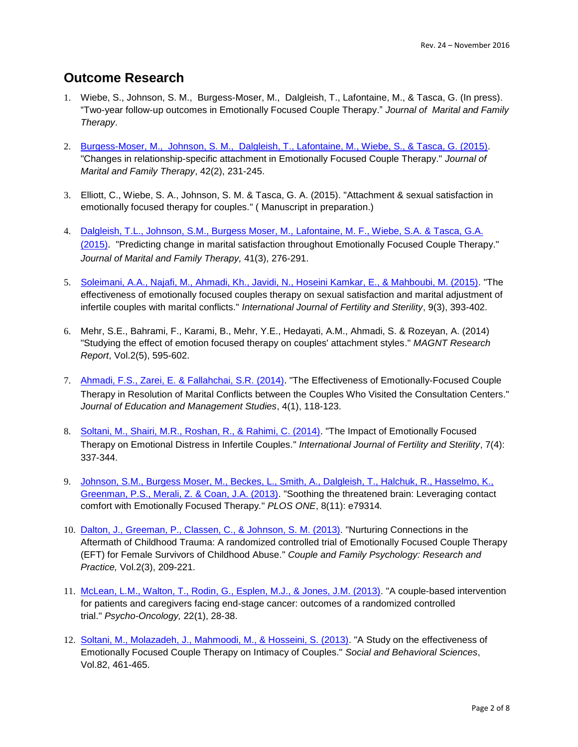### **Outcome Research**

- 1. Wiebe, S., Johnson, S. M., Burgess-Moser, M., Dalgleish, T., Lafontaine, M., & Tasca, G. (In press). "Two-year follow-up outcomes in Emotionally Focused Couple Therapy." *Journal of Marital and Family Therapy*.
- 2. [Burgess-Moser, M., Johnson, S. M., Dalgleish, T., Lafontaine, M., Wiebe, S., & Tasca, G. \(2015\).](http://onlinelibrary.wiley.com/doi/10.1111/jmft.12139/abstract) "Changes in relationship-specific attachment in Emotionally Focused Couple Therapy." *Journal of Marital and Family Therapy*, 42(2), 231-245.
- 3. Elliott, C., Wiebe, S. A., Johnson, S. M. & Tasca, G. A. (2015). "Attachment & sexual satisfaction in emotionally focused therapy for couples." ( Manuscript in preparation.)
- 4. [Dalgleish, T.L., Johnson, S.M., Burgess Moser, M., Lafontaine, M. F.,](http://onlinelibrary.wiley.com/doi/10.1111/jmft.12077/abstract) Wiebe, S.A. & Tasca, G.A. [\(2015\)](http://onlinelibrary.wiley.com/doi/10.1111/jmft.12077/abstract). "Predicting change in marital satisfaction throughout Emotionally Focused Couple Therapy." *Journal of Marital and Family Therapy,* 41(3), 276-291.
- 5. [Soleimani, A.A., Najafi, M., Ahmadi, Kh., Javidi, N., Hoseini Kamkar, E., & Mahboubi, M. \(2015\).](http://www.sid.ir/en/VEWSSID/J_pdf/107320150317.pdf) "The effectiveness of emotionally focused couples therapy on sexual satisfaction and marital adjustment of infertile couples with marital conflicts." *International Journal of Fertility and Sterility*, 9(3), 393-402.
- 6. Mehr, S.E., Bahrami, F., Karami, B., Mehr, Y.E., Hedayati, A.M., Ahmadi, S. & Rozeyan, A. (2014) "Studying the effect of emotion focused therapy on couples' attachment styles." *MAGNT Research Report*, Vol.2(5), 595-602.
- 7. [Ahmadi, F.S., Zarei, E. & Fallahchai, S.R. \(2014\)](http://www.jems.science-line.com/attachments/article/21/J.%20Educ.%20Manage.%20Stud.,%204(1)%20118-123%202014.pdf). "The Effectiveness of Emotionally-Focused Couple Therapy in Resolution of Marital Conflicts between the Couples Who Visited the Consultation Centers." *Journal of Education and Management Studies*, 4(1), 118-123.
- 8. [Soltani, M., Shairi, M.R., Roshan, R., & Rahimi, C. \(2014\)](http://www.ncbi.nlm.nih.gov/pmc/articles/PMC3901179/). "The Impact of Emotionally Focused Therapy on Emotional Distress in Infertile Couples." *International Journal of Fertility and Sterility*, 7(4): 337-344.
- 9. [Johnson, S.M., Burgess Moser, M., Beckes, L., Smith, A., Dalgleish, T., Halchuk, R., Hasselmo, K.,](http://journals.plos.org/plosone/article?id=10.1371/journal.pone.0079314)  [Greenman, P.S., Merali, Z. & Coan, J.A. \(2013\).](http://journals.plos.org/plosone/article?id=10.1371/journal.pone.0079314) "Soothing the threatened brain: Leveraging contact comfort with Emotionally Focused Therapy*.*" *PLOS ONE*, 8(11): e79314*.*
- 10. [Dalton, J., Greeman, P., Classen, C., & Johnson, S. M. \(2013\).](http://rebeccajorgensen.com/wp-content/uploads/2011/12/Dalton-Greenman-Classen-Johnson-2013-EFT-with-Trauma-Survivors.pdf) "Nurturing Connections in the Aftermath of Childhood Trauma: A randomized controlled trial of Emotionally Focused Couple Therapy (EFT) for Female Survivors of Childhood Abuse." *Couple and Family Psychology: Research and Practice,* Vol.2(3), 209-221.
- 11. [McLean, L.M., Walton, T., Rodin, G., Esplen, M.J., & Jones, J.M. \(2013\).](http://www.ncbi.nlm.nih.gov/pubmed/21919119) "A couple-based intervention for patients and caregivers facing end-stage cancer: outcomes of a randomized controlled trial." *Psycho-Oncology,* 22(1), 28-38.
- 12. [Soltani, M., Molazadeh, J., Mahmoodi, M., & Hosseini, S. \(2013\).](http://www.sciencedirect.com/science/article/pii/S1877042813013608) "A Study on the effectiveness of Emotionally Focused Couple Therapy on Intimacy of Couples." *Social and Behavioral Sciences*, Vol.82, 461-465.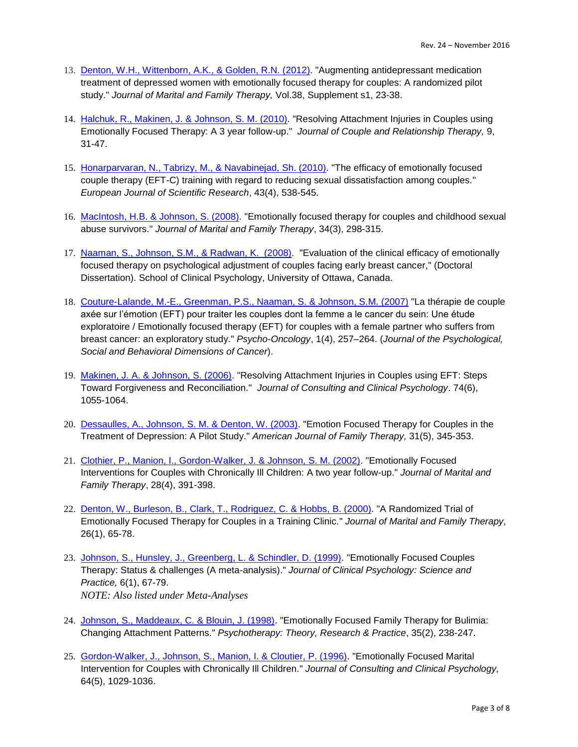- 13. [Denton, W.H., Wittenborn, A.K., & Golden, R.N. \(2012\).](http://www.ncbi.nlm.nih.gov/pubmed/22765322) "Augmenting antidepressant medication treatment of depressed women with emotionally focused therapy for couples: A randomized pilot study." *Journal of Marital and Family Therapy,* Vol.38, Supplement s1, 23-38.
- 14. [Halchuk, R., Makinen, J. &](http://www.tandfonline.com/doi/abs/10.1080/15332690903473069#.VtCJUI-cGM8) Johnson, S. M. (2010). "Resolving Attachment Injuries in Couples using Emotionally Focused Therapy: A 3 year follow-up." *Journal of Couple and Relationship Therapy,* 9, 31-47.
- 15. [Honarparvaran, N., Tabrizy, M., & Navabinejad, Sh. \(2010\).](https://www.researchgate.net/publication/267940710_The_Efficacy_of_Emotionally_Focused_Couple_Therapy_EFT-C_Training_with_Regard_to_Reducing_Sexual_Dissatisfaction_among_Couples) "The efficacy of emotionally focused couple therapy (EFT-C) training with regard to reducing sexual dissatisfaction among couples*.*" *European Journal of Scientific Research*, 43(4), 538-545.
- 16. [MacIntosh, H.B. & Johnson, S. \(2008\).](http://onlinelibrary.wiley.com/doi/10.1111/j.1752-0606.2008.00074.x/abstract) "Emotionally focused therapy for couples and childhood sexual abuse survivors." *Journal of Marital and Family Therapy*, 34(3), 298-315.
- 17. [Naaman, S., Johnson, S.M., & Radwan, K. \(2008\).](http://www.ruor.uottawa.ca/bitstream/10393/29526/1/NR41638.PDF) "Evaluation of the clinical efficacy of emotionally focused therapy on psychological adjustment of couples facing early breast cancer," (Doctoral Dissertation). School of Clinical Psychology, University of Ottawa, Canada.
- 18. [Couture-Lalande, M.-E., Greenman, P.S., Naaman, S. & Johnson, S.M. \(2007\)](https://www.researchgate.net/publication/225472532_La_therapie_de_couple_axee_sur_l%27emotion_EFT_pour_traiter_les_couples_dont_la_femme_a_le_cancer_du_sein_une_etude_exploratoire) "La thérapie de couple axée sur l'émotion (EFT) pour traiter les couples dont la femme a le cancer du sein: Une étude exploratoire / Emotionally focused therapy (EFT) for couples with a female partner who suffers from breast cancer: an exploratory study." *Psycho-Oncology*, 1(4), 257–264. (*Journal of the Psychological, Social and Behavioral Dimensions of Cancer*).
- 19. [Makinen, J. A. & Johnson, S. \(2006\).](https://www.researchgate.net/publication/6644242_Resolving_attachment_injuries_in_couples_using_EFT_Steps_toward_forgiveness_and_reconciliation) "Resolving Attachment Injuries in Couples using EFT: Steps Toward Forgiveness and Reconciliation." *Journal of Consulting and Clinical Psychology*. 74(6), 1055-1064.
- 20. [Dessaulles, A., Johnson, S. M. & Denton, W. \(2003\).](http://www.tandfonline.com/doi/abs/10.1080/01926180390232266?journalCode=uaft20#.VtCN5o-cGM8) "Emotion Focused Therapy for Couples in the Treatment of Depression: A Pilot Study." *American Journal of Family Therapy,* 31(5), 345-353.
- 21. [Clothier, P., Manion, I., Gordon-Walker, J. & Johnson, S. M. \(2002\).](http://onlinelibrary.wiley.com/doi/10.1111/j.1752-0606.2002.tb00364.x/abstract) "Emotionally Focused Interventions for Couples with Chronically Ill Children: A two year follow-up." *Journal of Marital and Family Therapy*, 28(4), 391-398.
- 22. [Denton, W., Burleson, B., Clark, T., Rodriguez, C. & Hobbs, B. \(2000\).](http://onlinelibrary.wiley.com/doi/10.1111/j.1752-0606.2000.tb00277.x/abstract) "A Randomized Trial of Emotionally Focused Therapy for Couples in a Training Clinic." *Journal of Marital and Family Therapy,* 26(1), 65-78.
- 23. [Johnson, S., Hunsley, J., Greenberg, L. & Schindler, D. \(1999\).](http://onlinelibrary.wiley.com/doi/10.1093/clipsy.6.1.67/abstract) "Emotionally Focused Couples Therapy: Status & challenges (A meta-analysis)." *Journal of Clinical Psychology: Science and Practice,* 6(1), 67-79. *NOTE: Also listed under Meta-Analyses*
- 24. [Johnson, S., Maddeaux, C. & Blouin, J. \(1998\).](http://www.relationshipinstitute.com.au/files/resources/1998p_Emotionally_Focused_Family_Therapy_for_Bulimia_Changing_Attachment_Patterns..pdf) "Emotionally Focused Family Therapy for Bulimia: Changing Attachment Patterns." *Psychotherapy: Theory, Research & Practice*, 35(2), 238-247.
- 25. [Gordon-Walker, J., Johnson, S., Manion, I. & Cloutier, P. \(1996\).](http://www.ncbi.nlm.nih.gov/pubmed/8916632) "Emotionally Focused Marital Intervention for Couples with Chronically Ill Children." *Journal of Consulting and Clinical Psychology,* 64(5), 1029-1036.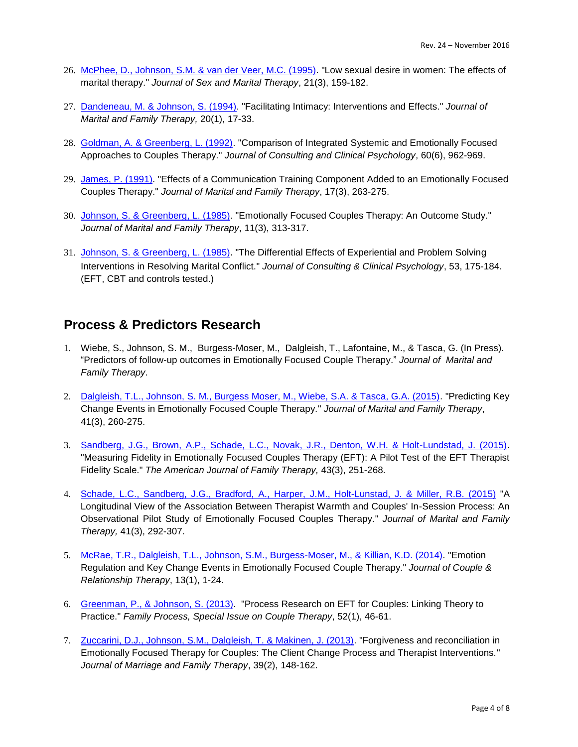- 26. [McPhee, D., Johnson, S.M. & van der Veer, M.C. \(1995\).](http://www.tandfonline.com/doi/abs/10.1080/00926239508404396) "Low sexual desire in women: The effects of marital therapy." *Journal of Sex and Marital Therapy*, 21(3), 159-182.
- 27. [Dandeneau, M. & Johnson, S. \(1994\).](http://onlinelibrary.wiley.com/doi/10.1111/j.1752-0606.1994.tb01008.x/abstract) "Facilitating Intimacy: Interventions and Effects." *Journal of Marital and Family Therapy,* 20(1), 17-33.
- 28. [Goldman, A. & Greenberg, L. \(1992\).](http://www.ncbi.nlm.nih.gov/pubmed/1460158) "Comparison of Integrated Systemic and Emotionally Focused Approaches to Couples Therapy." *Journal of Consulting and Clinical Psychology*, 60(6), 962-969.
- 29. [James, P. \(1991\).](http://onlinelibrary.wiley.com/doi/10.1111/j.1752-0606.1991.tb00894.x/abstract) "Effects of a Communication Training Component Added to an Emotionally Focused Couples Therapy." *Journal of Marital and Family Therapy*, 17(3), 263-275.
- 30. [Johnson, S. & Greenberg, L. \(1985\).](http://onlinelibrary.wiley.com/doi/10.1111/j.1752-0606.1985.tb00624.x/abstract) "Emotionally Focused Couples Therapy: An Outcome Study." *Journal of Marital and Family Therapy*, 11(3), 313-317.
- 31. [Johnson, S. & Greenberg, L. \(1985\)](http://psycnet.apa.org/?&fa=main.doiLanding&doi=10.1037/0022-006X.53.2.175). "The Differential Effects of Experiential and Problem Solving Interventions in Resolving Marital Conflict." *Journal of Consulting & Clinical Psychology*, 53, 175-184. (EFT, CBT and controls tested.)

#### **Process & Predictors Research**

- 1. Wiebe, S., Johnson, S. M., Burgess-Moser, M., Dalgleish, T., Lafontaine, M., & Tasca, G. (In Press). "Predictors of follow-up outcomes in Emotionally Focused Couple Therapy." *Journal of Marital and Family Therapy*.
- 2. [Dalgleish, T.L., Johnson, S. M., Burgess Moser, M., Wiebe, S.A. & Tasca, G.A. \(2015\).](http://onlinelibrary.wiley.com/doi/10.1111/jmft.12101/abstract) "Predicting Key Change Events in Emotionally Focused Couple Therapy." *Journal of Marital and Family Therapy*, 41(3), 260-275.
- 3. [Sandberg, J.G., Brown, A.P., Schade, L.C., Novak, J.R., Denton, W.H. & Holt-Lundstad, J. \(2015\).](https://www.researchgate.net/publication/277975056_Measuring_Fidelity_in_Emotionally_Focused_Couples_Therapy_EFT_A_Pilot_Test_of_the_EFT_Therapist_Fidelity_Scale) "Measuring Fidelity in Emotionally Focused Couples Therapy (EFT): A Pilot Test of the EFT Therapist Fidelity Scale." *The American Journal of Family Therapy,* 43(3), 251-268.
- 4. Schade, L.C., Sandberg, J.G., Bradford, A., [Harper, J.M., Holt-Lunstad, J. & Miller, R.B. \(2015\)](http://onlinelibrary.wiley.com/doi/10.1111/jmft.12076/abstract) "A Longitudinal View of the Association Between Therapist Warmth and Couples' In-Session Process: An Observational Pilot Study of Emotionally Focused Couples Therapy." *Journal of Marital and Family Therapy,* 41(3), 292-307.
- 5. [McRae, T.R., Dalgleish, T.L., Johnson, S.M., Burgess-Moser, M., & Killian, K.D. \(2014\).](http://www.tandfonline.com/doi/abs/10.1080/15332691.2013.836046) "Emotion Regulation and Key Change Events in Emotionally Focused Couple Therapy." *Journal of Couple & Relationship Therapy*, 13(1), 1-24.
- 6. [Greenman, P., & Johnson, S. \(2013\).](http://onlinelibrary.wiley.com/doi/10.1111/famp.12015/abstract) "Process Research on EFT for Couples: Linking Theory to Practice." *Family Process, Special Issue on Couple Therapy*, 52(1), 46-61.
- 7. [Zuccarini, D.J., Johnson, S.M., Dalgleish, T. & Makinen, J. \(2013\).](http://onlinelibrary.wiley.com/doi/10.1111/j.1752-0606.2012.00287.x/abstract) "Forgiveness and reconciliation in Emotionally Focused Therapy for Couples: The Client Change Process and Therapist Interventions." *Journal of Marriage and Family Therapy*, 39(2), 148-162.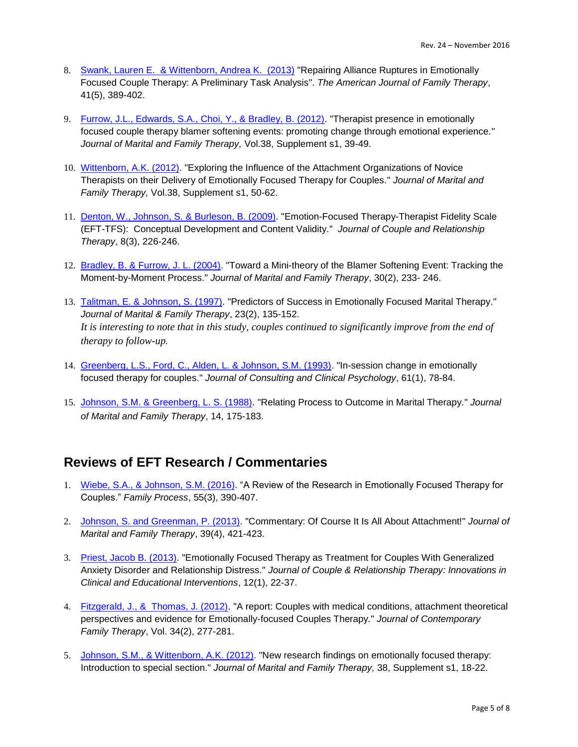- 8. [Swank, Lauren E. & Wittenborn, Andrea K. \(2013\)](http://www.tandfonline.com/doi/abs/10.1080/01926187.2012.726595?journalCode=uaft20) "Repairing Alliance Ruptures in Emotionally [Focused Couple Therapy: A Preliminary Task Analysis"](http://www.tandfonline.com/doi/full/10.1080/01926187.2012.726595#abstract). *[The American Journal of Family Therapy](http://www.tandfonline.com/toc/uaft20/current)*, 41(5), 389-402.
- 9. [Furrow, J.L., Edwards, S.A., Choi, Y., & Bradley, B. \(2012\).](http://www.ncbi.nlm.nih.gov/pubmed/22765323) "Therapist presence in emotionally focused couple therapy blamer softening events: promoting change through emotional experience." *Journal of Marital and Family Therapy,* Vol.38, Supplement s1, 39-49.
- 10. [Wittenborn, A.K. \(2012\).](http://onlinelibrary.wiley.com/doi/10.1111/j.1752-0606.2012.00290.x/abstract) "Exploring the Influence of the Attachment Organizations of Novice Therapists on their Delivery of Emotionally Focused Therapy for Couples." *Journal of Marital and Family Therapy,* Vol.38, Supplement s1, 50-62.
- 11. [Denton, W., Johnson, S.](http://www.ncbi.nlm.nih.gov/pubmed/20052311) & Burleson, B. (2009). "Emotion-Focused Therapy-Therapist Fidelity Scale (EFT-TFS): Conceptual Development and Content Validity." *Journal of Couple and Relationship Therapy*, 8(3), 226-246.
- 12. [Bradley, B. & Furrow, J. L. \(2004\).](http://onlinelibrary.wiley.com/doi/10.1111/j.1752-0606.2004.tb01236.x/abstract) "Toward a Mini-theory of the Blamer Softening Event: Tracking the Moment-by-Moment Process." *Journal of Marital and Family Therapy*, 30(2), 233- 246.
- 13. [Talitman, E. & Johnson, S. \(1997\).](http://onlinelibrary.wiley.com/doi/10.1111/j.1752-0606.1997.tb00239.x/abstract) "Predictors of Success in Emotionally Focused Marital Therapy." *Journal of Marital & Family Therapy*, 23(2), 135-152. *It is interesting to note that in this study, couples continued to significantly improve from the end of therapy to follow-up.*
- 14. [Greenberg, L.S., Ford, C., Alden, L. & Johnson, S.M. \(1993\).](https://www.researchgate.net/publication/14749422_In-session_change_in_Emotionally_focused_Therapy) "In-session change in emotionally focused therapy for couples." *Journal of Consulting and Clinical Psychology*, 61(1), 78-84.
- 15. Johnson, S.M. [& Greenberg, L. S. \(1988\)](http://onlinelibrary.wiley.com/doi/10.1111/j.1752-0606.1988.tb00733.x/abstract;jsessionid=B70B61F0EF40610DC3C5F0C397402A98.f01t04?systemMessage=Wiley+Online+Library+will+be+unavailable+on+Saturday+27th+February+from+09%3A00-14%3A00+GMT+%2F+04%3A00-09%3A00+). "Relating Process to Outcome in Marital Therapy." *Journal of Marital and Family Therapy*, 14, 175-183.

#### **Reviews of EFT Research / Commentaries**

- 1. [Wiebe, S.A., & Johnson, S.M. \(2016\).](http://onlinelibrary.wiley.com/doi/10.1111/famp.12229/abstract;jsessionid=FDD0D384959612B2213DC6BA9395634A.f02t04) "A Review of the Research in Emotionally Focused Therapy for Couples." *Family Process*, 55(3), 390-407.
- 2. [Johnson, S. and Greenman, P. \(2013\).](http://onlinelibrary.wiley.com/doi/10.1111/jmft.12035/abstract) "Commentary: Of Course It Is All About Attachment!" *Journal of Marital and Family Therapy*, 39(4), 421-423.
- 3. [Priest, Jacob B. \(2013\).](http://www.tandfonline.com/doi/abs/10.1080/15332691.2013.749763?journalCode=wcrt20) "Emotionally Focused Therapy as Treatment for Couples With Generalized Anxiety Disorder and Relationship Distress." *Journal of Couple & Relationship Therapy: Innovations in Clinical and Educational Interventions*, 12(1), 22-37.
- 4. [Fitzgerald, J., & Thomas, J. \(2012\).](http://link.springer.com/article/10.1007/s10591-012-9184-8) "A report: Couples with medical conditions, attachment theoretical perspectives and evidence for Emotionally-focused Couples Therapy*.*" *Journal of Contemporary Family Therapy*, Vol. 34(2), 277-281.
- 5. [Johnson, S.M., & Wittenborn, A.K. \(2012\).](http://onlinelibrary.wiley.com/doi/10.1111/j.1752-0606.2012.00292.x/abstract) "New research findings on emotionally focused therapy: Introduction to special section." *Journal of Marital and Family Therapy,* 38, Supplement s1, 18-22.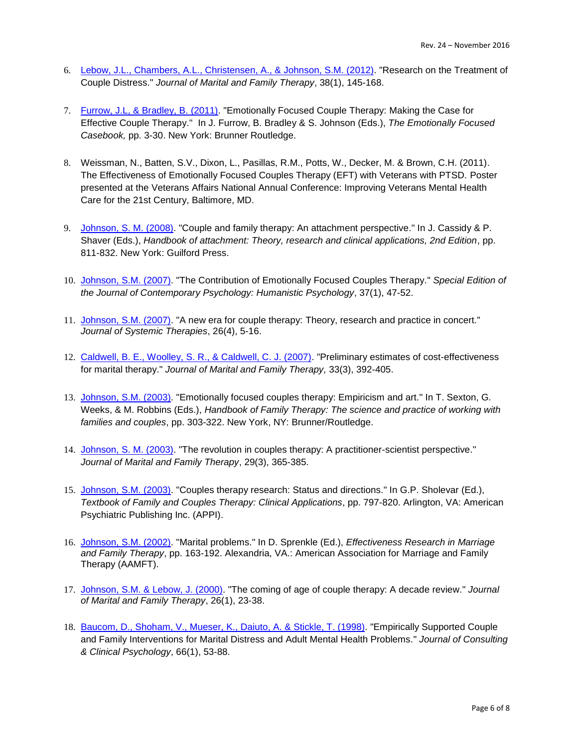- 6. [Lebow, J.L., Chambers, A.L., Christensen, A., & Johnson, S.M. \(2012\).](http://onlinelibrary.wiley.com/doi/10.1111/j.1752-0606.2011.00249.x/abstract) "Research on the Treatment of Couple Distress." *Journal of Marital and Family Therapy*, 38(1), 145-168.
- 7. [Furrow, J.L, & Bradley, B.](http://www.amazon.com/The-Emotionally-Focused-Casebook-Directions-ebook/dp/B00545DFS0) (2011). "Emotionally Focused Couple Therapy: Making the Case for Effective Couple Therapy." In J. Furrow, B. Bradley & S. Johnson (Eds.), *The Emotionally Focused Casebook,* pp. 3-30. New York: Brunner Routledge.
- 8. Weissman, N., Batten, S.V., Dixon, L., Pasillas, R.M., Potts, W., Decker, M. & Brown, C.H. (2011). The Effectiveness of Emotionally Focused Couples Therapy (EFT) with Veterans with PTSD. Poster presented at the Veterans Affairs National Annual Conference: Improving Veterans Mental Health Care for the 21st Century, Baltimore, MD.
- 9. [Johnson, S. M. \(2008\).](http://www.amazon.ca/Author-Handbook-Attachment-Research-Applications/dp/B004VG269W/ref=sr_1_1?ie=UTF8&qid=1456526661&sr=8-1&keywords=Handbook+of+attachment%3A+Theory%2C+research+and+clinical+applications%2C+2nd+Edition) "Couple and family therapy: An attachment perspective." In J. Cassidy & P. Shaver (Eds.), *Handbook of attachment: Theory, research and clinical applications, 2nd Edition*, pp. 811-832. New York: Guilford Press.
- 10. [Johnson, S.M.](http://link.springer.com/article/10.1007/s10879-006-9034-9/fulltext.html) (2007). "The Contribution of Emotionally Focused Couples Therapy." *Special Edition of the Journal of Contemporary Psychology: Humanistic Psychology*, 37(1), 47-52.
- 11. [Johnson, S.M. \(2007\).](http://guilfordjournals.com/doi/abs/10.1521/jsyt.2007.26.4.5?journalCode=jsyt&) "A new era for couple therapy: Theory, research and practice in concert." *Journal of Systemic Therapies*, 26(4), 5-16.
- 12. [Caldwell, B. E., Woolley, S. R., & Caldwell, C. J. \(2007\).](http://onlinelibrary.wiley.com/doi/10.1111/j.1752-0606.2007.00038.x/abstract) "Preliminary estimates of cost-effectiveness for marital therapy." *Journal of Marital and Family Therapy,* 33(3), 392-405.
- 13. [Johnson, S.M. \(2003\).](http://www.amazon.com/gp/product/1583913254?keywords=Handbook%20of%20Family%20Therapy%3A%20The%20science%20and%20practice%20of%20working%20with%20families%20and%20couples&qid=1456527313&ref_=sr_1_1&sr=8-1) "Emotionally focused couples therapy: Empiricism and art." In T. Sexton, G. Weeks, & M. Robbins (Eds.), *Handbook of Family Therapy: The science and practice of working with families and couples*, pp. 303-322. New York, NY: Brunner/Routledge.
- 14. [Johnson, S. M. \(2003\).](http://onlinelibrary.wiley.com/doi/10.1111/j.1752-0606.2003.tb01213.x/abstract) "The revolution in couples therapy: A practitioner-scientist perspective." *Journal of Marital and Family Therapy*, 29(3), 365-385.
- 15. [Johnson, S.M. \(2003\).](http://www.amazon.com/Textbook-Family-Couples-Therapy-Applications/dp/0880485183/ref=sr_1_6?ie=UTF8&qid=1456527485&sr=8-6&keywords=Textbook+of+Family+and+Marital+Therapy) "Couples therapy research: Status and directions." In G.P. Sholevar (Ed.), *Textbook of Family and Couples Therapy: Clinical Applications*, pp. 797-820. Arlington, VA: American Psychiatric Publishing Inc. (APPI).
- 16. [Johnson, S.M. \(2002\).](http://www.amazon.com/Effectiveness-Research-Marriage-Family-Therapy/dp/1931846081/ref=sr_1_1?ie=UTF8&qid=1456530020&sr=8-1&keywords=Effectiveness+Research+in+Marriage+and+Family+Therapy) "Marital problems." In D. Sprenkle (Ed.), *Effectiveness Research in Marriage and Family Therapy*, pp. 163-192. Alexandria, VA.: American Association for Marriage and Family Therapy (AAMFT).
- 17. [Johnson, S.M. & Lebow, J. \(2000\).](http://onlinelibrary.wiley.com/doi/10.1111/j.1752-0606.2000.tb00273.x/abstract) "The coming of age of couple therapy: A decade review." *Journal of Marital and Family Therapy*, 26(1), 23-38.
- 18. [Baucom, D., Shoham, V., Mueser, K., Daiuto, A. & Stickle, T. \(1998\).](https://www.researchgate.net/publication/13742940_Empirically_Supported_Couple_and_Family_Interventions_for_Marital_Distress_and_Adult_Mental_Health_Problems) "Empirically Supported Couple and Family Interventions for Marital Distress and Adult Mental Health Problems." *Journal of Consulting & Clinical Psychology*, 66(1), 53-88.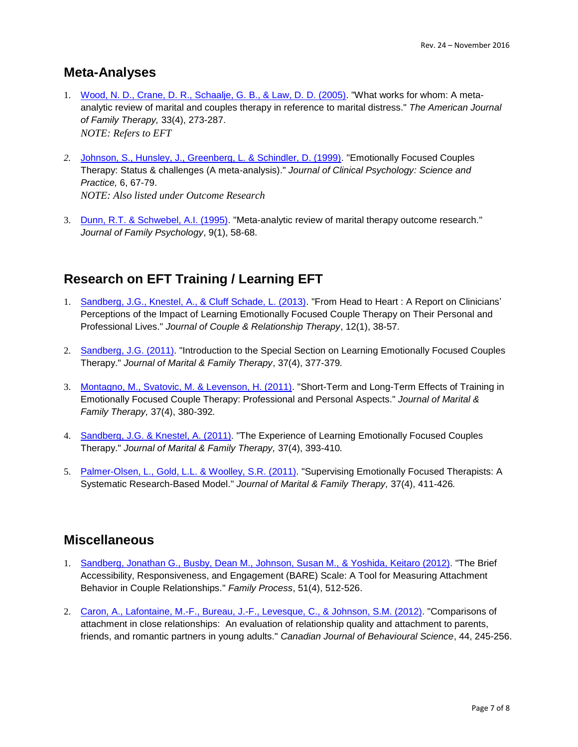#### **Meta-Analyses**

- 1. [Wood, N. D., Crane, D. R., Schaalje, G. B., & Law, D. D. \(2005\).](https://russcrane.byu.edu/Documents/Marital%20Therapy%20Research/2005_What_Works_for_Whom.pdf) "What works for whom: A metaanalytic review of marital and couples therapy in reference to marital distress." *The American Journal of Family Therapy,* 33(4), 273-287. *NOTE: Refers to EFT*
- *2.* [Johnson, S., Hunsley, J., Greenberg, L. & Schindler, D. \(1999\).](http://onlinelibrary.wiley.com/doi/10.1093/clipsy.6.1.67/abstract) "Emotionally Focused Couples Therapy: Status & challenges (A meta-analysis)." *Journal of Clinical Psychology: Science and Practice,* 6, 67-79. *NOTE: Also listed under Outcome Research*
- 3. [Dunn, R.T. & Schwebel, A.I. \(1995\).](http://homepage.psy.utexas.edu/HomePage/Class/Psy394Q/Behavior%20Therapy%20Class/Assigned%20Readings/Relationship%20Discord/Dunn95.pdf) "Meta-analytic review of marital therapy outcome research." *Journal of Family Psychology*, 9(1), 58-68.

## **Research on EFT Training / Learning EFT**

- 1. [Sandberg, J.G., Knestel, A., & Cluff Schade, L. \(2013\).](http://www.tandfonline.com/doi/abs/10.1080/15332691.2013.750076) "From Head to Heart : A Report on Clinicians' Perceptions of the Impact of Learning Emotionally Focused Couple Therapy on Their Personal and Professional Lives." *Journal of Couple & Relationship Therapy*, 12(1), 38-57.
- 2. [Sandberg, J.G. \(2011\).](http://onlinelibrary.wiley.com/doi/10.1111/j.1752-0606.2011.00251.x/full) "Introduction to the Special Section on Learning Emotionally Focused Couples Therapy." *Journal of Marital & Family Therapy*, 37(4), 377-379*.*
- 3. [Montagno, M., Svatovic, M. & Levenson, H. \(2011\).](http://onlinelibrary.wiley.com/doi/10.1111/j.1752-0606.2011.00250.x/abstract) "Short-Term and Long-Term Effects of Training in Emotionally Focused Couple Therapy: Professional and Personal Aspects." *Journal of Marital & Family Therapy,* 37(4), 380-392*.*
- 4. [Sandberg, J.G. & Knestel, A. \(2011\).](http://onlinelibrary.wiley.com/doi/10.1111/j.1752-0606.2011.00254.x/abstract) "The Experience of Learning Emotionally Focused Couples Therapy." *Journal of Marital & Family Therapy,* 37(4), 393-410*.*
- 5. [Palmer-Olsen, L., Gold, L.L. & Woolley, S.R. \(2011\).](http://onlinelibrary.wiley.com/doi/10.1111/j.1752-0606.2011.00253.x/abstract) "Supervising Emotionally Focused Therapists: A Systematic Research-Based Model." *Journal of Marital & Family Therapy,* 37(4), 411-426*.*

#### **Miscellaneous**

- 1. [Sandberg, Jonathan G., Busby, Dean M., Johnson, Susan M.,](http://onlinelibrary.wiley.com/doi/10.1111/j.1545-5300.2012.01422.x/abstract) & Yoshida, Keitaro (2012). "The Brief Accessibility, Responsiveness, and Engagement (BARE) Scale: A Tool for Measuring Attachment Behavior in Couple Relationships." *Family Process*, 51(4), 512-526.
- 2. [Caron, A., Lafontaine, M.-F., Bureau, J.-F., Levesque, C., & Johnson, S.M.](http://socialsciences.uottawa.ca/care/sites/socialsciences.uottawa.ca.care/files/2012-15515-001.pdf) (2012). "Comparisons of attachment in close relationships: An evaluation of relationship quality and attachment to parents, friends, and romantic partners in young adults." *Canadian Journal of Behavioural Science*, 44, 245-256.